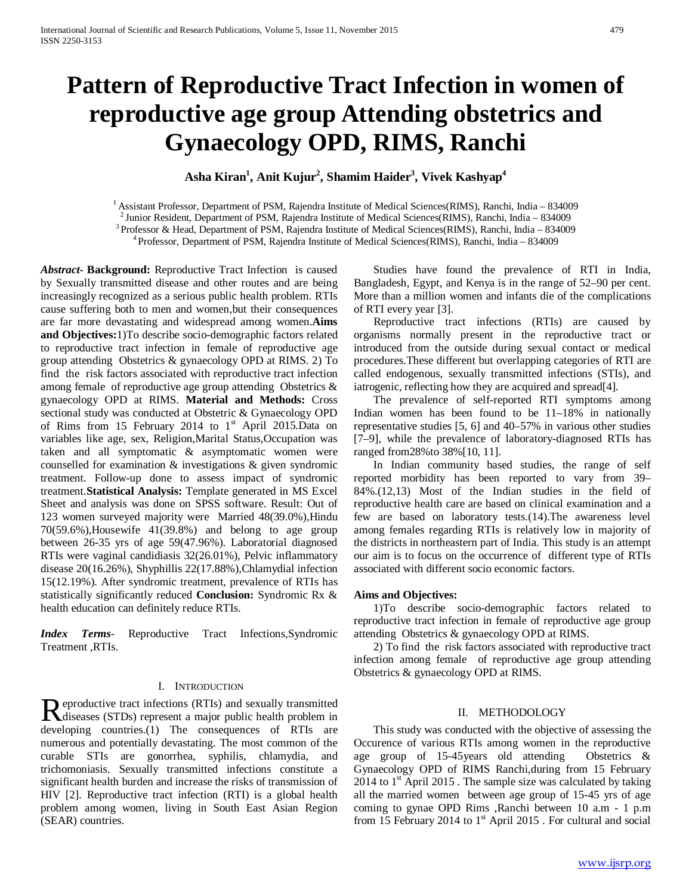# **Pattern of Reproductive Tract Infection in women of reproductive age group Attending obstetrics and Gynaecology OPD, RIMS, Ranchi**

**Asha Kiran1 , Anit Kujur2 , Shamim Haider3 , Vivek Kashyap4**

<sup>1</sup> Assistant Professor, Department of PSM, Rajendra Institute of Medical Sciences(RIMS), Ranchi, India – 834009<br><sup>2</sup> Junior Resident, Department of PSM, Rajendra Institute of Medical Sciences(RIMS), Ranchi, India – 834009

*Abstract***- Background:** Reproductive Tract Infection is caused by Sexually transmitted disease and other routes and are being increasingly recognized as a serious public health problem. RTIs cause suffering both to men and women,but their consequences are far more devastating and widespread among women.**Aims and Objectives:**1)To describe socio-demographic factors related to reproductive tract infection in female of reproductive age group attending Obstetrics & gynaecology OPD at RIMS. 2) To find the risk factors associated with reproductive tract infection among female of reproductive age group attending Obstetrics & gynaecology OPD at RIMS. **Material and Methods:** Cross sectional study was conducted at Obstetric & Gynaecology OPD of Rims from 15 February 2014 to  $1<sup>st</sup>$  April 2015.Data on variables like age, sex, Religion,Marital Status,Occupation was taken and all symptomatic & asymptomatic women were counselled for examination & investigations & given syndromic treatment. Follow-up done to assess impact of syndromic treatment.**Statistical Analysis:** Template generated in MS Excel Sheet and analysis was done on SPSS software. Result: Out of 123 women surveyed majority were Married 48(39.0%),Hindu 70(59.6%),Housewife 41(39.8%) and belong to age group between 26-35 yrs of age 59(47.96%). Laboratorial diagnosed RTIs were vaginal candidiasis 32(26.01%), Pelvic inflammatory disease 20(16.26%), Shyphillis 22(17.88%),Chlamydial infection 15(12.19%). After syndromic treatment, prevalence of RTIs has statistically significantly reduced **Conclusion:** Syndromic Rx & health education can definitely reduce RTIs.

*Index Terms*- Reproductive Tract Infections,Syndromic Treatment ,RTIs.

# I. INTRODUCTION

**D** eproductive tract infections (RTIs) and sexually transmitted Reproductive tract infections (RTIs) and sexually transmitted<br>diseases (STDs) represent a major public health problem in developing countries.(1) The consequences of RTIs are numerous and potentially devastating. The most common of the curable STIs are gonorrhea, syphilis, chlamydia, and trichomoniasis. Sexually transmitted infections constitute a significant health burden and increase the risks of transmission of HIV [2]. Reproductive tract infection (RTI) is a global health problem among women, living in South East Asian Region (SEAR) countries.

 Studies have found the prevalence of RTI in India, Bangladesh, Egypt, and Kenya is in the range of 52–90 per cent. More than a million women and infants die of the complications of RTI every year [3].

 Reproductive tract infections (RTIs) are caused by organisms normally present in the reproductive tract or introduced from the outside during sexual contact or medical procedures.These different but overlapping categories of RTI are called endogenous, sexually transmitted infections (STIs), and iatrogenic, reflecting how they are acquired and spread[4].

 The prevalence of self-reported RTI symptoms among Indian women has been found to be 11–18% in nationally representative studies [5, 6] and 40–57% in various other studies [7–9], while the prevalence of laboratory-diagnosed RTIs has ranged from28%to 38%[10, 11].

 In Indian community based studies, the range of self reported morbidity has been reported to vary from 39– 84%.(12,13) Most of the Indian studies in the field of reproductive health care are based on clinical examination and a few are based on laboratory tests.(14).The awareness level among females regarding RTIs is relatively low in majority of the districts in northeastern part of India. This study is an attempt our aim is to focus on the occurrence of different type of RTIs associated with different socio economic factors.

# **Aims and Objectives:**

 1)To describe socio-demographic factors related to reproductive tract infection in female of reproductive age group attending Obstetrics & gynaecology OPD at RIMS.

 2) To find the risk factors associated with reproductive tract infection among female of reproductive age group attending Obstetrics & gynaecology OPD at RIMS.

# II. METHODOLOGY

 This study was conducted with the objective of assessing the Occurence of various RTIs among women in the reproductive age group of 15-45years old attending Obstetrics & Gynaecology OPD of RIMS Ranchi,during from 15 February 2014 to  $1<sup>st</sup>$  April 2015. The sample size was calculated by taking all the married women between age group of 15-45 yrs of age coming to gynae OPD Rims ,Ranchi between 10 a.m - 1 p.m from 15 February 2014 to  $1<sup>st</sup>$  April 2015 . For cultural and social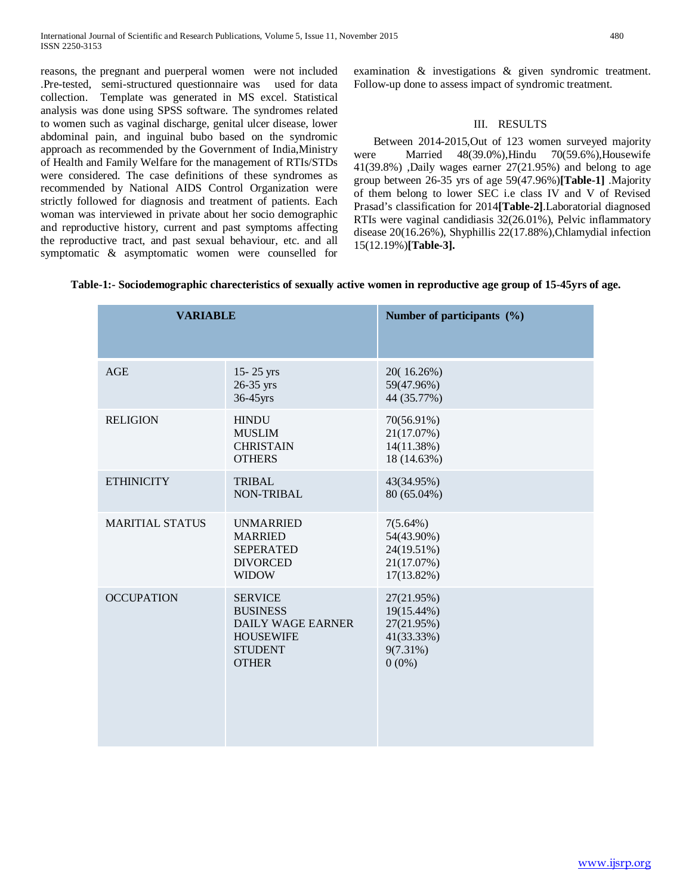reasons, the pregnant and puerperal women were not included .Pre-tested, semi-structured questionnaire was used for data collection. Template was generated in MS excel. Statistical analysis was done using SPSS software. The syndromes related to women such as vaginal discharge, genital ulcer disease, lower abdominal pain, and inguinal bubo based on the syndromic approach as recommended by the Government of India,Ministry of Health and Family Welfare for the management of RTIs/STDs were considered. The case definitions of these syndromes as recommended by National AIDS Control Organization were strictly followed for diagnosis and treatment of patients. Each woman was interviewed in private about her socio demographic and reproductive history, current and past symptoms affecting the reproductive tract, and past sexual behaviour, etc. and all symptomatic & asymptomatic women were counselled for

examination & investigations & given syndromic treatment. Follow-up done to assess impact of syndromic treatment.

# III. RESULTS

 Between 2014-2015,Out of 123 women surveyed majority were Married 48(39.0%),Hindu 70(59.6%),Housewife 41(39.8%) ,Daily wages earner 27(21.95%) and belong to age group between 26-35 yrs of age 59(47.96%)**[Table-1]** .Majority of them belong to lower SEC i.e class IV and V of Revised Prasad's classification for 2014**[Table-2]**.Laboratorial diagnosed RTIs were vaginal candidiasis 32(26.01%), Pelvic inflammatory disease 20(16.26%), Shyphillis 22(17.88%),Chlamydial infection 15(12.19%)**[Table-3].**

| Table-1:- Sociodemographic charecteristics of sexually active women in reproductive age group of 15-45yrs of age. |  |  |  |
|-------------------------------------------------------------------------------------------------------------------|--|--|--|
|                                                                                                                   |  |  |  |

| <b>VARIABLE</b>        |                                                                                                                     | Number of participants (%)                                                      |
|------------------------|---------------------------------------------------------------------------------------------------------------------|---------------------------------------------------------------------------------|
| <b>AGE</b>             | $15 - 25$ yrs<br>$26-35$ yrs<br>36-45yrs                                                                            | 20(16.26%)<br>59(47.96%)<br>44 (35.77%)                                         |
| <b>RELIGION</b>        | <b>HINDU</b><br><b>MUSLIM</b><br><b>CHRISTAIN</b><br><b>OTHERS</b>                                                  | 70(56.91%)<br>21(17.07%)<br>14(11.38%)<br>18 (14.63%)                           |
| <b>ETHINICITY</b>      | <b>TRIBAL</b><br><b>NON-TRIBAL</b>                                                                                  | 43(34.95%)<br>80 (65.04%)                                                       |
| <b>MARITIAL STATUS</b> | <b>UNMARRIED</b><br><b>MARRIED</b><br><b>SEPERATED</b><br><b>DIVORCED</b><br><b>WIDOW</b>                           | $7(5.64\%)$<br>54(43.90%)<br>24(19.51%)<br>21(17.07%)<br>$17(13.82\%)$          |
| <b>OCCUPATION</b>      | <b>SERVICE</b><br><b>BUSINESS</b><br><b>DAILY WAGE EARNER</b><br><b>HOUSEWIFE</b><br><b>STUDENT</b><br><b>OTHER</b> | 27(21.95%)<br>19(15.44%)<br>27(21.95%)<br>41(33.33%)<br>$9(7.31\%)$<br>$0(0\%)$ |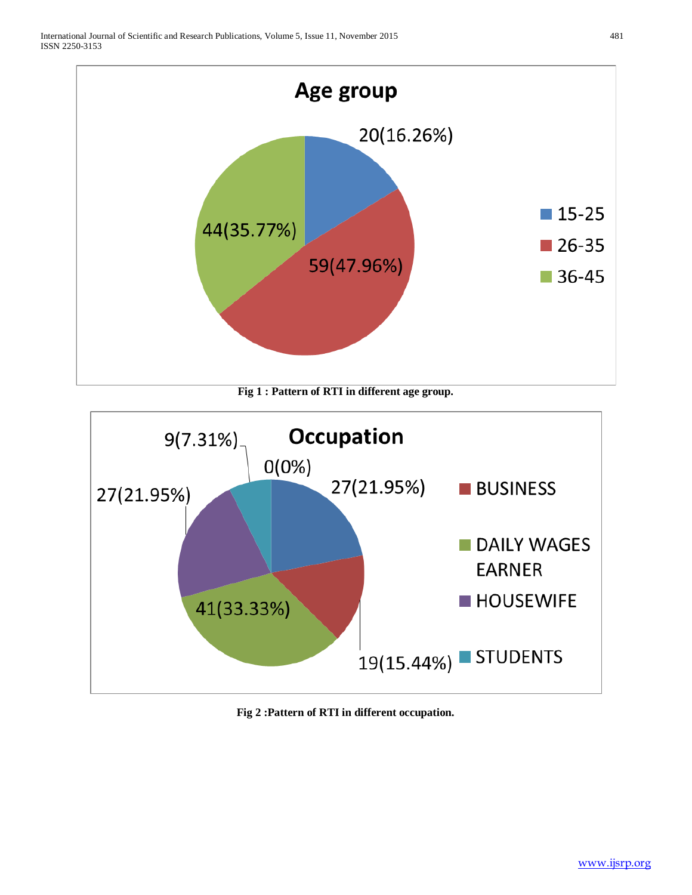

**Fig 1 : Pattern of RTI in different age group.**



**Fig 2 :Pattern of RTI in different occupation.**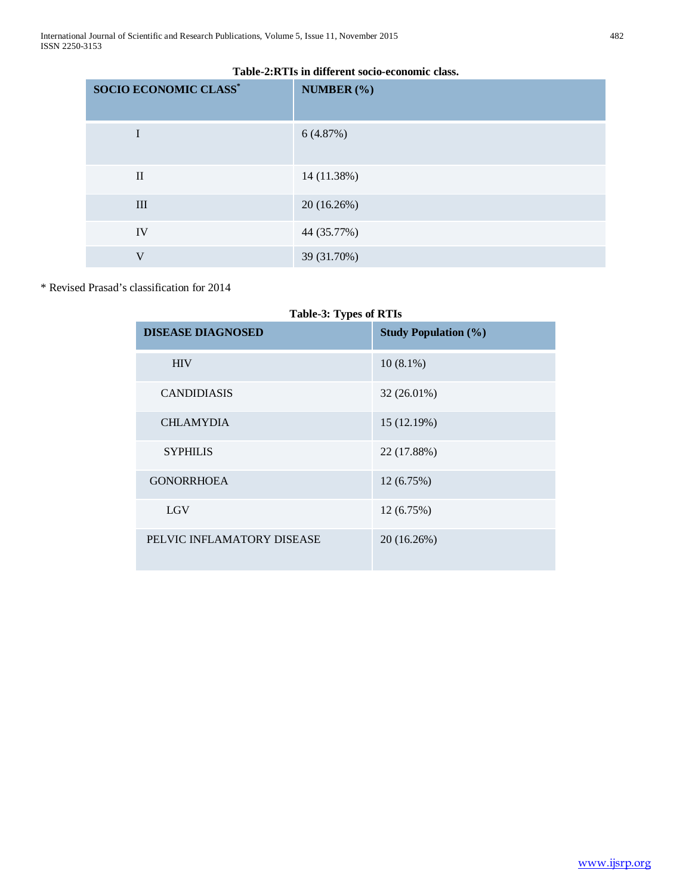| <b>SOCIO ECONOMIC CLASS*</b> | NUMBER (%)  |
|------------------------------|-------------|
| I                            | 6(4.87%)    |
| $\mathbf{I}$                 | 14 (11.38%) |
| III                          | 20 (16.26%) |
| IV                           | 44 (35.77%) |
| $\mathbf{V}$                 | 39 (31.70%) |

# **Table-2:RTIs in different socio-economic class.**

\* Revised Prasad's classification for 2014

| <b>Table-3: Types of RTIs</b> |                             |  |  |  |  |
|-------------------------------|-----------------------------|--|--|--|--|
| <b>DISEASE DIAGNOSED</b>      | <b>Study Population (%)</b> |  |  |  |  |
| <b>HIV</b>                    | $10(8.1\%)$                 |  |  |  |  |
| <b>CANDIDIASIS</b>            | 32 (26.01%)                 |  |  |  |  |
| <b>CHLAMYDIA</b>              | 15 (12.19%)                 |  |  |  |  |
| <b>SYPHILIS</b>               | 22 (17.88%)                 |  |  |  |  |
| <b>GONORRHOEA</b>             | 12 (6.75%)                  |  |  |  |  |
| <b>LGV</b>                    | 12 (6.75%)                  |  |  |  |  |
| PELVIC INFLAMATORY DISEASE    | 20 (16.26%)                 |  |  |  |  |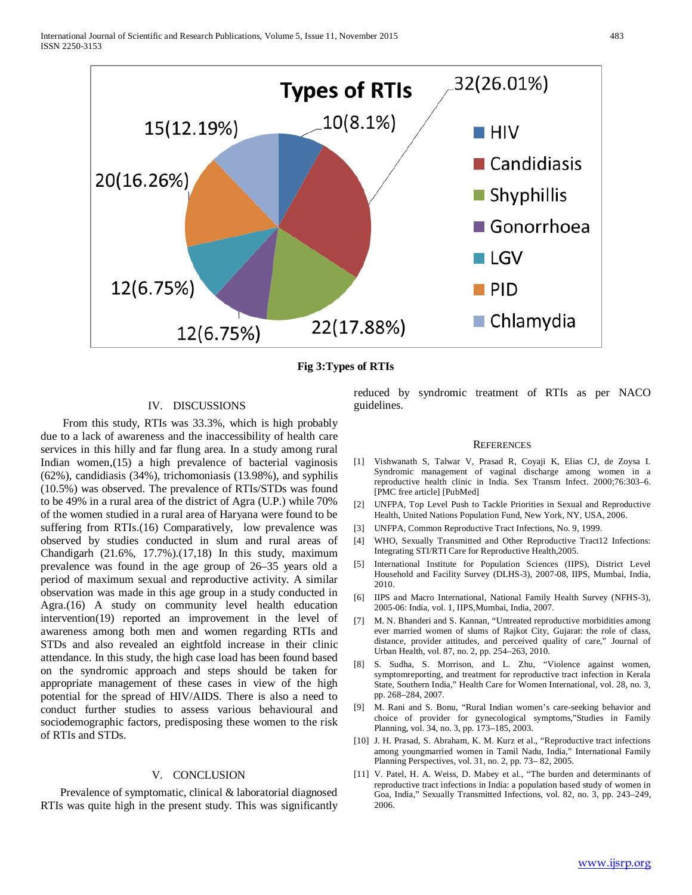

**Fig 3:Types of RTIs**

# IV. DISCUSSIONS

From this study, RTIs was 33.3%, which is high probably due to a lack of awareness and the inaccessibility of health care services in this hilly and far flung area. In a study among rural Indian women,(15) a high prevalence of bacterial vaginosis (62%), candidiasis (34%), trichomoniasis (13.98%), and syphilis (10.5%) was observed. The prevalence of RTIs/STDs was found to be 49% in a rural area of the district of Agra (U.P.) while 70% of the women studied in a rural area of Haryana were found to be suffering from RTIs.(16) Comparatively, low prevalence was observed by studies conducted in slum and rural areas of Chandigarh (21.6%, 17.7%).(17,18) In this study, maximum prevalence was found in the age group of 26–35 years old a period of maximum sexual and reproductive activity. A similar observation was made in this age group in a study conducted in Agra.(16) A study on community level health education intervention(19) reported an improvement in the level of awareness among both men and women regarding RTIs and STDs and also revealed an eightfold increase in their clinic attendance. In this study, the high case load has been found based on the syndromic approach and steps should be taken for appropriate management of these cases in view of the high potential for the spread of HIV/AIDS. There is also a need to conduct further studies to assess various behavioural and sociodemographic factors, predisposing these women to the risk of RTIs and STDs.

# V. CONCLUSION

 Prevalence of symptomatic, clinical & laboratorial diagnosed RTIs was quite high in the present study. This was significantly reduced by syndromic treatment of RTIs as per NACO guidelines.

#### **REFERENCES**

- [1] Vishwanath S, Talwar V, Prasad R, Coyaji K, Elias CJ, de Zoysa I. Syndromic management of vaginal discharge among women in a reproductive health clinic in India. Sex Transm Infect. 2000;76:303–6. [PMC free article] [PubMed]
- [2] UNFPA, Top Level Push to Tackle Priorities in Sexual and Reproductive Health, United Nations Population Fund, New York, NY, USA, 2006.
- [3] UNFPA, Common Reproductive Tract Infections, No. 9, 1999.
- [4] WHO, Sexually Transmitted and Other Reproductive Tract12 Infections: Integrating STI/RTI Care for Reproductive Health,2005.
- [5] International Institute for Population Sciences (IIPS), District Level Household and Facility Survey (DLHS-3), 2007-08, IIPS, Mumbai, India, 2010.
- [6] IIPS and Macro International, National Family Health Survey (NFHS-3), 2005-06: India, vol. 1, IIPS,Mumbai, India, 2007.
- [7] M. N. Bhanderi and S. Kannan, "Untreated reproductive morbidities among ever married women of slums of Rajkot City, Gujarat: the role of class, distance, provider attitudes, and perceived quality of care," Journal of Urban Health, vol. 87, no. 2, pp. 254–263, 2010.
- S. Sudha, S. Morrison, and L. Zhu, "Violence against women, symptomreporting, and treatment for reproductive tract infection in Kerala State, Southern India," Health Care for Women International, vol. 28, no. 3, pp. 268–284, 2007.
- [9] M. Rani and S. Bonu, "Rural Indian women's care-seeking behavior and choice of provider for gynecological symptoms,"Studies in Family Planning, vol. 34, no. 3, pp. 173–185, 2003.
- [10] J. H. Prasad, S. Abraham, K. M. Kurz et al., "Reproductive tract infections among youngmarried women in Tamil Nadu, India," International Family Planning Perspectives, vol. 31, no. 2, pp. 73– 82, 2005.
- [11] V. Patel, H. A. Weiss, D. Mabey et al., "The burden and determinants of reproductive tract infections in India: a population based study of women in Goa, India," Sexually Transmitted Infections, vol. 82, no. 3, pp. 243–249, 2006.